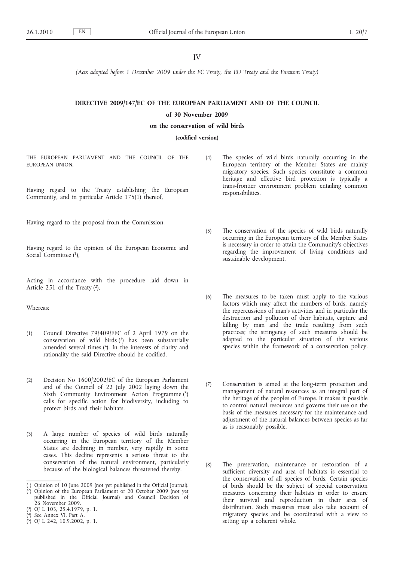IV

*(Acts adopted before 1 December 2009 under the EC Treaty, the EU Treaty and the Euratom Treaty)*

# **DIRECTIVE 2009/147/EC OF THE EUROPEAN PARLIAMENT AND OF THE COUNCIL of 30 November 2009**

#### **on the conservation of wild birds**

**(codified version)**

THE EUROPEAN PARLIAMENT AND THE COUNCIL OF THE EUROPEAN UNION,

Having regard to the Treaty establishing the European Community, and in particular Article 175(1) thereof,

Having regard to the proposal from the Commission,

Having regard to the opinion of the European Economic and Social Committee (1).

Acting in accordance with the procedure laid down in Article 251 of the Treaty (2),

Whereas:

- (1) Council Directive 79/409/EEC of 2 April 1979 on the conservation of wild birds (3) has been substantially amended several times (4). In the interests of clarity and rationality the said Directive should be codified.
- (2) Decision No 1600/2002/EC of the European Parliament and of the Council of 22 July 2002 laying down the Sixth Community Environment Action Programme (5) calls for specific action for biodiversity, including to protect birds and their habitats.
- (3) A large number of species of wild birds naturally occurring in the European territory of the Member States are declining in number, very rapidly in some cases. This decline represents a serious threat to the conservation of the natural environment, particularly because of the biological balances threatened thereby.

- ( 4) See Annex VI, Part A.
- ( 5) OJ L 242, 10.9.2002, p. 1.

(4) The species of wild birds naturally occurring in the European territory of the Member States are mainly migratory species. Such species constitute a common heritage and effective bird protection is typically a trans-frontier environment problem entailing common responsibilities.

- (5) The conservation of the species of wild birds naturally occurring in the European territory of the Member States is necessary in order to attain the Community's objectives regarding the improvement of living conditions and sustainable development.
- (6) The measures to be taken must apply to the various factors which may affect the numbers of birds, namely the repercussions of man's activities and in particular the destruction and pollution of their habitats, capture and killing by man and the trade resulting from such practices; the stringency of such measures should be adapted to the particular situation of the various species within the framework of a conservation policy.
- (7) Conservation is aimed at the long-term protection and management of natural resources as an integral part of the heritage of the peoples of Europe. It makes it possible to control natural resources and governs their use on the basis of the measures necessary for the maintenance and adjustment of the natural balances between species as far as is reasonably possible.
- (8) The preservation, maintenance or restoration of a sufficient diversity and area of habitats is essential to the conservation of all species of birds. Certain species of birds should be the subject of special conservation measures concerning their habitats in order to ensure their survival and reproduction in their area of distribution. Such measures must also take account of migratory species and be coordinated with a view to setting up a coherent whole.

<sup>(</sup> 1) Opinion of 10 June 2009 (not yet published in the Official Journal).

<sup>(</sup> 2) Opinion of the European Parliament of 20 October 2009 (not yet published in the Official Journal) and Council Decision of 26 November 2009.

<sup>(</sup> 3) OJ L 103, 25.4.1979, p. 1.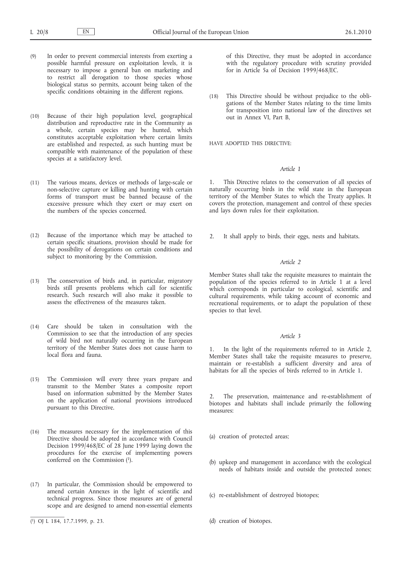- (9) In order to prevent commercial interests from exerting a possible harmful pressure on exploitation levels, it is necessary to impose a general ban on marketing and to restrict all derogation to those species whose biological status so permits, account being taken of the specific conditions obtaining in the different regions.
- (10) Because of their high population level, geographical distribution and reproductive rate in the Community as a whole, certain species may be hunted, which constitutes acceptable exploitation where certain limits are established and respected, as such hunting must be compatible with maintenance of the population of these species at a satisfactory level.
- (11) The various means, devices or methods of large-scale or non-selective capture or killing and hunting with certain forms of transport must be banned because of the excessive pressure which they exert or may exert on the numbers of the species concerned.
- (12) Because of the importance which may be attached to certain specific situations, provision should be made for the possibility of derogations on certain conditions and subject to monitoring by the Commission.
- (13) The conservation of birds and, in particular, migratory birds still presents problems which call for scientific research. Such research will also make it possible to assess the effectiveness of the measures taken.
- (14) Care should be taken in consultation with the Commission to see that the introduction of any species of wild bird not naturally occurring in the European territory of the Member States does not cause harm to local flora and fauna.
- (15) The Commission will every three years prepare and transmit to the Member States a composite report based on information submitted by the Member States on the application of national provisions introduced pursuant to this Directive.
- (16) The measures necessary for the implementation of this Directive should be adopted in accordance with Council Decision 1999/468/EC of 28 June 1999 laying down the procedures for the exercise of implementing powers conferred on the Commission (1).
- (17) In particular, the Commission should be empowered to amend certain Annexes in the light of scientific and technical progress. Since those measures are of general scope and are designed to amend non-essential elements

of this Directive, they must be adopted in accordance with the regulatory procedure with scrutiny provided for in Article 5a of Decision 1999/468/EC.

(18) This Directive should be without prejudice to the obligations of the Member States relating to the time limits for transposition into national law of the directives set out in Annex VI, Part B,

HAVE ADOPTED THIS DIRECTIVE:

### *Article 1*

1. This Directive relates to the conservation of all species of naturally occurring birds in the wild state in the European territory of the Member States to which the Treaty applies. It covers the protection, management and control of these species and lays down rules for their exploitation.

2. It shall apply to birds, their eggs, nests and habitats.

### *Article 2*

Member States shall take the requisite measures to maintain the population of the species referred to in Article 1 at a level which corresponds in particular to ecological, scientific and cultural requirements, while taking account of economic and recreational requirements, or to adapt the population of these species to that level.

#### *Article 3*

In the light of the requirements referred to in Article 2, Member States shall take the requisite measures to preserve, maintain or re-establish a sufficient diversity and area of habitats for all the species of birds referred to in Article 1.

2. The preservation, maintenance and re-establishment of biotopes and habitats shall include primarily the following measures:

- (a) creation of protected areas;
- (b) upkeep and management in accordance with the ecological needs of habitats inside and outside the protected zones;
- (c) re-establishment of destroyed biotopes;
- (d) creation of biotopes.

<sup>(</sup> 1) OJ L 184, 17.7.1999, p. 23.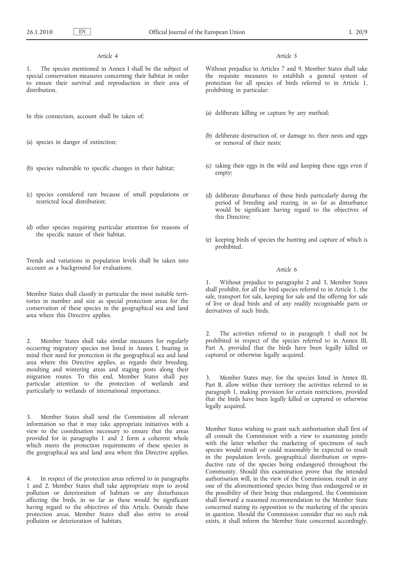### *Article 4*

The species mentioned in Annex I shall be the subject of special conservation measures concerning their habitat in order to ensure their survival and reproduction in their area of distribution.

In this connection, account shall be taken of:

- (a) species in danger of extinction;
- (b) species vulnerable to specific changes in their habitat;
- (c) species considered rare because of small populations or restricted local distribution;
- (d) other species requiring particular attention for reasons of the specific nature of their habitat.

Trends and variations in population levels shall be taken into account as a background for evaluations.

Member States shall classify in particular the most suitable territories in number and size as special protection areas for the conservation of these species in the geographical sea and land area where this Directive applies.

2. Member States shall take similar measures for regularly occurring migratory species not listed in Annex I, bearing in mind their need for protection in the geographical sea and land area where this Directive applies, as regards their breeding, moulting and wintering areas and staging posts along their migration routes. To this end, Member States shall pay particular attention to the protection of wetlands and particularly to wetlands of international importance.

3. Member States shall send the Commission all relevant information so that it may take appropriate initiatives with a view to the coordination necessary to ensure that the areas provided for in paragraphs 1 and 2 form a coherent whole which meets the protection requirements of these species in the geographical sea and land area where this Directive applies.

4. In respect of the protection areas referred to in paragraphs 1 and 2, Member States shall take appropriate steps to avoid pollution or deterioration of habitats or any disturbances affecting the birds, in so far as these would be significant having regard to the objectives of this Article. Outside these protection areas, Member States shall also strive to avoid pollution or deterioration of habitats.

#### *Article 5*

Without prejudice to Articles 7 and 9, Member States shall take the requisite measures to establish a general system of protection for all species of birds referred to in Article 1, prohibiting in particular:

- (a) deliberate killing or capture by any method;
- (b) deliberate destruction of, or damage to, their nests and eggs or removal of their nests;
- (c) taking their eggs in the wild and keeping these eggs even if empty;
- (d) deliberate disturbance of these birds particularly during the period of breeding and rearing, in so far as disturbance would be significant having regard to the objectives of this Directive;
- (e) keeping birds of species the hunting and capture of which is prohibited.

#### *Article 6*

Without prejudice to paragraphs 2 and 3, Member States shall prohibit, for all the bird species referred to in Article 1, the sale, transport for sale, keeping for sale and the offering for sale of live or dead birds and of any readily recognisable parts or derivatives of such birds.

2. The activities referred to in paragraph 1 shall not be prohibited in respect of the species referred to in Annex III, Part A, provided that the birds have been legally killed or captured or otherwise legally acquired.

3. Member States may, for the species listed in Annex III, Part B, allow within their territory the activities referred to in paragraph 1, making provision for certain restrictions, provided that the birds have been legally killed or captured or otherwise legally acquired.

Member States wishing to grant such authorisation shall first of all consult the Commission with a view to examining jointly with the latter whether the marketing of specimens of such species would result or could reasonably be expected to result in the population levels, geographical distribution or reproductive rate of the species being endangered throughout the Community. Should this examination prove that the intended authorisation will, in the view of the Commission, result in any one of the aforementioned species being thus endangered or in the possibility of their being thus endangered, the Commission shall forward a reasoned recommendation to the Member State concerned stating its opposition to the marketing of the species in question. Should the Commission consider that no such risk exists, it shall inform the Member State concerned accordingly.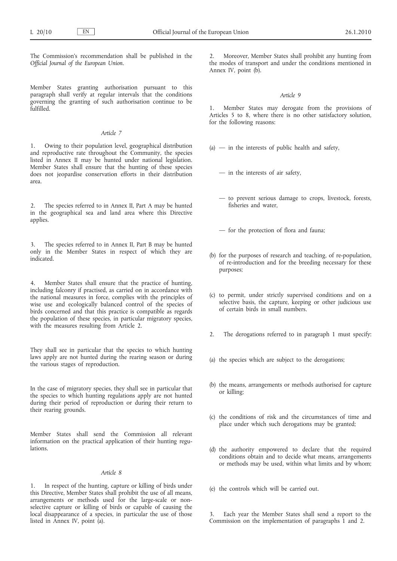The Commission's recommendation shall be published in the *Official Journal of the European Union*.

Member States granting authorisation pursuant to this paragraph shall verify at regular intervals that the conditions governing the granting of such authorisation continue to be fulfilled.

#### *Article 7*

1. Owing to their population level, geographical distribution and reproductive rate throughout the Community, the species listed in Annex II may be hunted under national legislation. Member States shall ensure that the hunting of these species does not jeopardise conservation efforts in their distribution area.

2. The species referred to in Annex II, Part A may be hunted in the geographical sea and land area where this Directive applies.

3. The species referred to in Annex II, Part B may be hunted only in the Member States in respect of which they are indicated.

4. Member States shall ensure that the practice of hunting, including falconry if practised, as carried on in accordance with the national measures in force, complies with the principles of wise use and ecologically balanced control of the species of birds concerned and that this practice is compatible as regards the population of these species, in particular migratory species, with the measures resulting from Article 2.

They shall see in particular that the species to which hunting laws apply are not hunted during the rearing season or during the various stages of reproduction.

In the case of migratory species, they shall see in particular that the species to which hunting regulations apply are not hunted during their period of reproduction or during their return to their rearing grounds.

Member States shall send the Commission all relevant information on the practical application of their hunting regulations.

#### *Article 8*

In respect of the hunting, capture or killing of birds under this Directive, Member States shall prohibit the use of all means, arrangements or methods used for the large-scale or nonselective capture or killing of birds or capable of causing the local disappearance of a species, in particular the use of those listed in Annex IV, point (a).

2. Moreover, Member States shall prohibit any hunting from the modes of transport and under the conditions mentioned in Annex IV, point (b).

#### *Article 9*

1. Member States may derogate from the provisions of Articles 5 to 8, where there is no other satisfactory solution, for the following reasons:

- $(a)$  in the interests of public health and safety,
	- in the interests of air safety,
	- to prevent serious damage to crops, livestock, forests, fisheries and water,
	- for the protection of flora and fauna;
- (b) for the purposes of research and teaching, of re-population, of re-introduction and for the breeding necessary for these purposes;
- (c) to permit, under strictly supervised conditions and on a selective basis, the capture, keeping or other judicious use of certain birds in small numbers.
- 2. The derogations referred to in paragraph 1 must specify:
- (a) the species which are subject to the derogations;
- (b) the means, arrangements or methods authorised for capture or killing;
- (c) the conditions of risk and the circumstances of time and place under which such derogations may be granted;
- (d) the authority empowered to declare that the required conditions obtain and to decide what means, arrangements or methods may be used, within what limits and by whom;
- (e) the controls which will be carried out.

Each year the Member States shall send a report to the Commission on the implementation of paragraphs 1 and 2.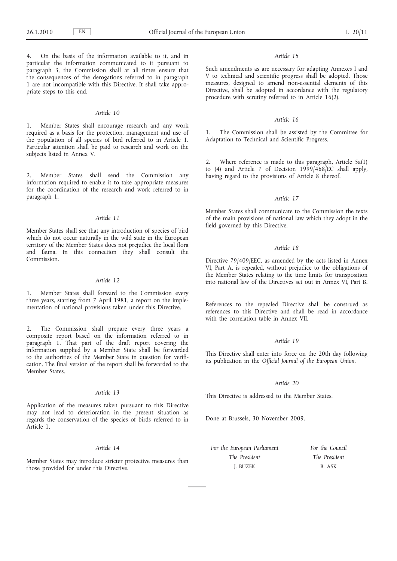4. On the basis of the information available to it, and in particular the information communicated to it pursuant to paragraph 3, the Commission shall at all times ensure that the consequences of the derogations referred to in paragraph 1 are not incompatible with this Directive. It shall take appropriate steps to this end.

#### *Article 10*

1. Member States shall encourage research and any work required as a basis for the protection, management and use of the population of all species of bird referred to in Article 1. Particular attention shall be paid to research and work on the subjects listed in Annex V.

2. Member States shall send the Commission any information required to enable it to take appropriate measures for the coordination of the research and work referred to in paragraph 1.

### *Article 11*

Member States shall see that any introduction of species of bird which do not occur naturally in the wild state in the European territory of the Member States does not prejudice the local flora and fauna. In this connection they shall consult the Commission.

#### *Article 12*

1. Member States shall forward to the Commission every three years, starting from 7 April 1981, a report on the implementation of national provisions taken under this Directive.

2. The Commission shall prepare every three years a composite report based on the information referred to in paragraph 1. That part of the draft report covering the information supplied by a Member State shall be forwarded to the authorities of the Member State in question for verification. The final version of the report shall be forwarded to the Member States.

#### *Article 13*

Application of the measures taken pursuant to this Directive may not lead to deterioration in the present situation as regards the conservation of the species of birds referred to in Article 1.

#### *Article 14*

Member States may introduce stricter protective measures than those provided for under this Directive.

#### *Article 15*

Such amendments as are necessary for adapting Annexes I and V to technical and scientific progress shall be adopted. Those measures, designed to amend non-essential elements of this Directive, shall be adopted in accordance with the regulatory procedure with scrutiny referred to in Article 16(2).

### *Article 16*

1. The Commission shall be assisted by the Committee for Adaptation to Technical and Scientific Progress.

2. Where reference is made to this paragraph, Article 5a(1) to (4) and Article 7 of Decision 1999/468/EC shall apply, having regard to the provisions of Article 8 thereof.

#### *Article 17*

Member States shall communicate to the Commission the texts of the main provisions of national law which they adopt in the field governed by this Directive.

#### *Article 18*

Directive 79/409/EEC, as amended by the acts listed in Annex VI, Part A, is repealed, without prejudice to the obligations of the Member States relating to the time limits for transposition into national law of the Directives set out in Annex VI, Part B.

References to the repealed Directive shall be construed as references to this Directive and shall be read in accordance with the correlation table in Annex VII.

### *Article 19*

This Directive shall enter into force on the 20th day following its publication in the *Official Journal of the European Union*.

#### *Article 20*

This Directive is addressed to the Member States.

Done at Brussels, 30 November 2009.

*For the European Parliament The President* J. BUZEK

*For the Council The President* B. ASK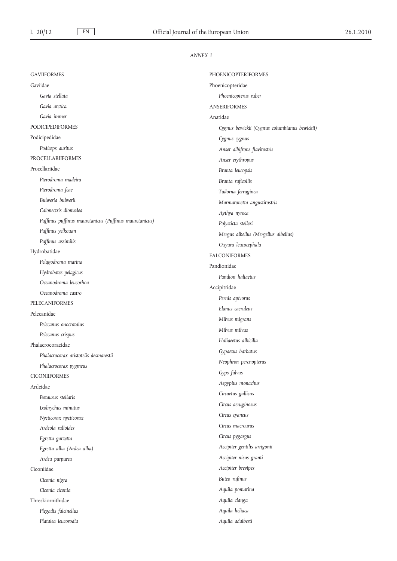## *ANNEX I*

| <b>GAVIIFORMES</b>                                     | <b>PHOENICOPTERIFORMES</b>                    |
|--------------------------------------------------------|-----------------------------------------------|
| Gaviidae                                               | Phoenicopteridae                              |
| Gavia stellata                                         | Phoenicopterus ruber                          |
| Gavia arctica                                          | <b>ANSERIFORMES</b>                           |
| Gavia immer                                            | Anatidae                                      |
| <b>PODICIPEDIFORMES</b>                                | Cygnus bewickii (Cygnus columbianus bewickii) |
| Podicipedidae                                          | Cygnus cygnus                                 |
| Podiceps auritus                                       | Anser albifrons flavirostris                  |
| <b>PROCELLARIIFORMES</b>                               | Anser erythropus                              |
| Procellariidae                                         | Branta leucopsis                              |
| Pterodroma madeira                                     | Branta ruficollis                             |
| Pterodroma feae                                        | Tadorna ferruginea                            |
| Bulweria bulwerii                                      | Marmaronetta angustirostris                   |
| Calonectris diomedea                                   | Aythya nyroca                                 |
| Puffinus puffinus mauretanicus (Puffinus mauretanicus) | Polysticta stelleri                           |
| Puffinus yelkouan                                      | Mergus albellus (Mergellus albellus)          |
| Puffinus assimilis                                     | Oxyura leucocephala                           |
| Hydrobatidae                                           | <b>FALCONIFORMES</b>                          |
| Pelagodroma marina                                     | Pandionidae                                   |
| Hydrobates pelagicus                                   | Pandion haliaetus                             |
| Oceanodroma leucorhoa                                  | Accipitridae                                  |
| Oceanodroma castro                                     | Pernis apivorus                               |
| PELECANIFORMES                                         | Elanus caeruleus                              |
| Pelecanidae                                            | Milvus migrans                                |
| Pelecanus onocrotalus                                  | Milvus milvus                                 |
| Pelecanus crispus                                      | Haliaeetus albicilla                          |
| Phalacrocoracidae                                      | Gypaetus barbatus                             |
| Phalacrocorax aristotelis desmarestii                  | Neophron percnopterus                         |
| Phalacrocorax pygmeus                                  | Gyps fulvus                                   |
| <b>CICONIIFORMES</b>                                   | Aegypius monachus                             |
| Ardeidae                                               | Circaetus gallicus                            |
| Botaurus stellaris                                     | Circus aeruginosus                            |
| Ixobrychus minutus                                     |                                               |
| Nycticorax nycticorax                                  | Circus cyaneus<br>Circus macrourus            |
| Ardeola ralloides                                      |                                               |
| Egretta garzetta                                       | Circus pygargus                               |
| Egretta alba (Ardea alba)                              | Accipiter gentilis arrigonii                  |
| Ardea purpurea                                         | Accipiter nisus granti                        |
| Ciconiidae                                             | Accipiter brevipes                            |
| Ciconia nigra                                          | Buteo rufinus                                 |
| Ciconia ciconia                                        | Aquila pomarina                               |
| Threskiornithidae                                      | Aquila clanga                                 |
| Plegadis falcinellus                                   | Aquila heliaca                                |
| Platalea leucorodia                                    | Aquila adalberti                              |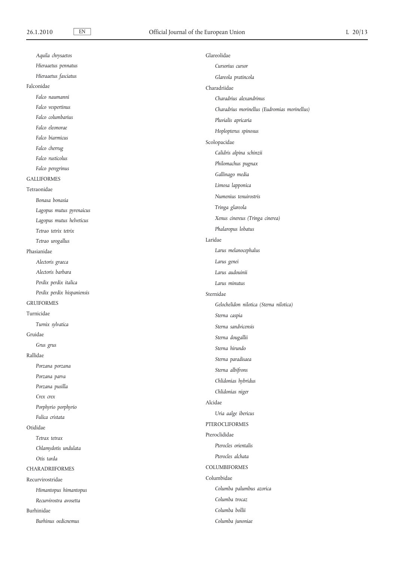| Aquila chrysaetos          | Glareolidae                                  |
|----------------------------|----------------------------------------------|
| Hieraaetus pennatus        | Cursorius cursor                             |
| Hieraaetus fasciatus       | Glareola pratincola                          |
| Falconidae                 | Charadriidae                                 |
| Falco naumanni             | Charadrius alexandrinus                      |
| Falco vespertinus          | Charadrius morinellus (Eudromias morinellus) |
| Falco columbarius          | Pluvialis apricaria                          |
| Falco eleonorae            | Hoplopterus spinosus                         |
| Falco biarmicus            | Scolopacidae                                 |
| Falco cherrug              | Calidris alpina schinzii                     |
| Falco rusticolus           | Philomachus pugnax                           |
| Falco peregrinus           | Gallinago media                              |
| <b>GALLIFORMES</b>         | Limosa lapponica                             |
| Tetraonidae                | Numenius tenuirostris                        |
| Bonasa bonasia             |                                              |
| Lagopus mutus pyrenaicus   | Tringa glareola                              |
| Lagopus mutus helveticus   | Xenus cinereus (Tringa cinerea)              |
| Tetrao tetrix tetrix       | Phalaropus lobatus                           |
| Tetrao urogallus           | Laridae                                      |
| Phasianidae                | Larus melanocephalus                         |
| Alectoris graeca           | Larus genei                                  |
| Alectoris barbara          | Larus audouinii                              |
| Perdix perdix italica      | Larus minutus                                |
| Perdix perdix hispaniensis | Sternidae                                    |
| <b>GRUIFORMES</b>          | Gelochelidon nilotica (Sterna nilotica)      |
| Turnicidae                 | Sterna caspia                                |
| Turnix sylvatica           | Sterna sandvicensis                          |
| Gruidae                    | Sterna dougallii                             |
| Grus grus                  | Sterna hirundo                               |
| Rallidae                   | Sterna paradisaea                            |
| Porzana porzana            |                                              |
| Porzana parva              | Sterna albifrons                             |
| Porzana pusilla            | Chlidonias hybridus                          |
| Crex crex                  | Chlidonias niger                             |
| Porphyrio porphyrio        | Alcidae                                      |
| Fulica cristata            | Uria aalge ibericus                          |
| Otididae                   | PTEROCLIFORMES                               |
| Tetrax tetrax              | Pteroclididae                                |
| Chlamydotis undulata       | Pterocles orientalis                         |
| Otis tarda                 | Pterocles alchata                            |
| <b>CHARADRIIFORMES</b>     | <b>COLUMBIFORMES</b>                         |
| Recurvirostridae           | Columbidae                                   |
| Himantopus himantopus      | Columba palumbus azorica                     |
| Recurvirostra avosetta     | Columba trocaz                               |
| Burhinidae                 | Columba bollii                               |
| Burhinus oedicnemus        | Columba junoniae                             |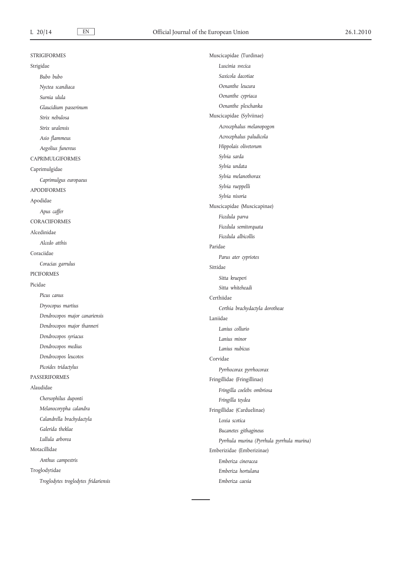| <b>STRIGIFORMES</b>                  | Muscicapidae (Turdinae)                    |
|--------------------------------------|--------------------------------------------|
| Strigidae                            | Luscinia svecica                           |
| Bubo bubo                            | Saxicola dacotiae                          |
| Nyctea scandiaca                     | Oenanthe leucura                           |
| Surnia ulula                         | Oenanthe cypriaca                          |
| Glaucidium passerinum                | Oenanthe pleschanka                        |
| Strix nebulosa                       | Muscicapidae (Sylviinae)                   |
| Strix uralensis                      | Acrocephalus melanopogon                   |
| Asio flammeus                        | Acrocephalus paludicola                    |
| Aegolius funereus                    | Hippolais olivetorum                       |
| <b>CAPRIMULGIFORMES</b>              | Sylvia sarda                               |
| Caprimulgidae                        | Sylvia undata                              |
| Caprimulgus europaeus                | Sylvia melanothorax                        |
| <b>APODIFORMES</b>                   | Sylvia rueppelli                           |
| Apodidae                             | Sylvia nisoria                             |
| Apus caffer                          | Muscicapidae (Muscicapinae)                |
| <b>CORACIIFORMES</b>                 | Ficedula parva                             |
|                                      | Ficedula semitorquata                      |
| Alcedinidae                          | Ficedula albicollis                        |
| Alcedo atthis                        | Paridae                                    |
| Coraciidae                           | Parus ater cypriotes                       |
| Coracias garrulus                    | Sittidae                                   |
| <b>PICIFORMES</b>                    | Sitta krueperi                             |
| Picidae                              | Sitta whiteheadi                           |
| Picus canus                          | Certhiidae                                 |
| Dryocopus martius                    | Certhia brachydactyla dorotheae            |
| Dendrocopos major canariensis        | Laniidae                                   |
| Dendrocopos major thanneri           | Lanius collurio                            |
| Dendrocopos syriacus                 | Lanius minor                               |
| Dendrocopos medius                   | Lanius nubicus                             |
| Dendrocopos leucotos                 | Corvidae                                   |
| Picoides tridactylus                 | Pyrrhocorax pyrrhocorax                    |
| <b>PASSERIFORMES</b>                 | Fringillidae (Fringillinae)                |
| Alaudidae                            | Fringilla coelebs ombriosa                 |
| Chersophilus duponti                 | Fringilla teydea                           |
| Melanocorypha calandra               | Fringillidae (Carduelinae)                 |
| Calandrella brachydactyla            | Loxia scotica                              |
| Galerida theklae                     | Bucanetes githagineus                      |
| Lullula arborea                      | Pyrrhula murina (Pyrrhula pyrrhula murina) |
| Motacillidae                         | Emberizidae (Emberizinae)                  |
| Anthus campestris                    | Emberiza cineracea                         |
| Troglodytidae                        | Emberiza hortulana                         |
| Troglodytes troglodytes fridariensis | Emberiza caesia                            |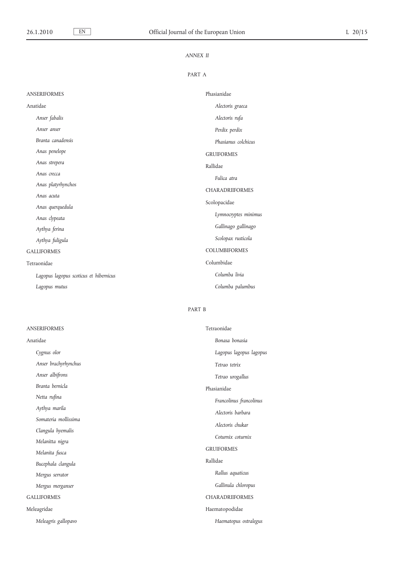# *ANNEX II*

## PART A

| <b>ANSERIFORMES</b>                    | Phasianidae            |
|----------------------------------------|------------------------|
| Anatidae                               | Alectoris graeca       |
| Anser fabalis                          | Alectoris rufa         |
| Anser anser                            | Perdix perdix          |
| Branta canadensis                      | Phasianus colchicus    |
| Anas penelope                          | <b>GRUIFORMES</b>      |
| Anas strepera                          | Rallidae               |
| Anas crecca                            | Fulica atra            |
| Anas platyrhynchos                     | <b>CHARADRIIFORMES</b> |
| Anas acuta                             | Scolopacidae           |
| Anas querquedula                       |                        |
| Anas clypeata                          | Lymnocryptes minimus   |
| Aythya ferina                          | Gallinago gallinago    |
| Aythya fuligula                        | Scolopax rusticola     |
| <b>GALLIFORMES</b>                     | <b>COLUMBIFORMES</b>   |
| Tetraonidae                            | Columbidae             |
| Lagopus lagopus scoticus et hibernicus | Columba livia          |
| Lagopus mutus                          | Columba palumbus       |

# PART B

| <b>ANSERIFORMES</b>  | Tetraonidae             |
|----------------------|-------------------------|
| Anatidae             | Bonasa bonasia          |
| Cygnus olor          | Lagopus lagopus lagopus |
| Anser brachyrhynchus | Tetrao tetrix           |
| Anser albifrons      | Tetrao urogallus        |
| Branta bernicla      | Phasianidae             |
| Netta rufina         | Francolinus francolinus |
| Aythya marila        | Alectoris barbara       |
| Somateria mollissima | Alectoris chukar        |
| Clangula hyemalis    |                         |
| Melanitta nigra      | Coturnix coturnix       |
| Melanita fusca       | <b>GRUIFORMES</b>       |
| Bucephala clangula   | Rallidae                |
| Mergus serrator      | Rallus aquaticus        |
| Mergus merganser     | Gallinula chloropus     |
| <b>GALLIFORMES</b>   | <b>CHARADRIIFORMES</b>  |
| Meleagridae          | Haematopodidae          |
| Meleagris gallopavo  | Haematopus ostralegus   |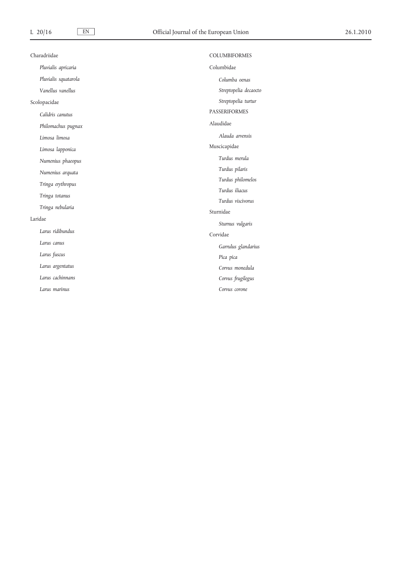| Charadriidae         | <b>COLUMBIFORMES</b>  |
|----------------------|-----------------------|
| Pluvialis apricaria  | Columbidae            |
| Pluvialis squatarola | Columba oenas         |
| Vanellus vanellus    | Streptopelia decaocto |
| Scolopacidae         | Streptopelia turtur   |
| Calidris canutus     | <b>PASSERIFORMES</b>  |
| Philomachus pugnax   | Alaudidae             |
| Limosa limosa        | Alauda arvensis       |
| Limosa lapponica     | Muscicapidae          |
| Numenius phaeopus    | Turdus merula         |
| Numenius arquata     | Turdus pilaris        |
| Tringa erythropus    | Turdus philomelos     |
| Tringa totanus       | Turdus iliacus        |
| Tringa nebularia     | Turdus viscivorus     |
|                      | Sturnidae             |
| Laridae              | Sturnus vulgaris      |
| Larus ridibundus     | Corvidae              |
| Larus canus          | Garrulus glandarius   |
| Larus fuscus         | Pica pica             |
| Larus argentatus     | Corvus monedula       |
| Larus cachinnans     | Corvus frugilegus     |
| Larus marinus        | Corvus corone         |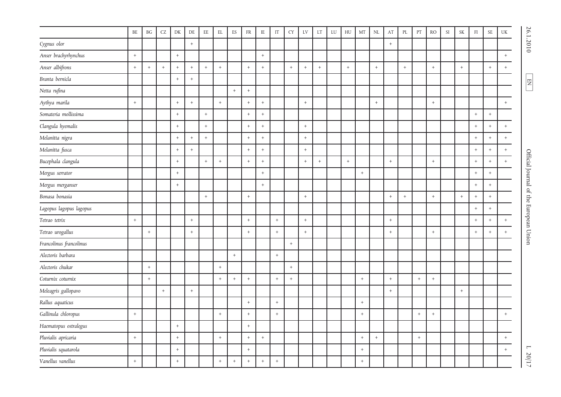|                         | $\rm BE$    | <b>BG</b>   | $\mathsf{C}\mathsf{Z}$ | DK              | $\rm DE$    | $\rm{EE}$         | $\mathop{\rm EL}$ | ${\rm ES}$ | ${\rm FR}$       | $\rm IE$ | $\operatorname{IT}$ | ${\rm CY}$ | ${\rm LV}$           | $\mathop{\rm LT}\nolimits$ | ${\rm LU}$ | ${\rm H}{\rm U}$ | $\rm{MT}$            | $\rm NL$        | $\mathbf{A}\mathbf{T}$ | $\rm PL$   | PT  | $\rm \mathsf{RO}$ | SI | $\ensuremath{\mathsf{SK}}\xspace$ | $\mathop{\rm FI}\nolimits$ | $\ensuremath{\mathsf{SE}}$ | $\mathbf{UK}$ |                                        |
|-------------------------|-------------|-------------|------------------------|-----------------|-------------|-------------------|-------------------|------------|------------------|----------|---------------------|------------|----------------------|----------------------------|------------|------------------|----------------------|-----------------|------------------------|------------|-----|-------------------|----|-----------------------------------|----------------------------|----------------------------|---------------|----------------------------------------|
| Cygnus olor             |             |             |                        |                 | $\! +$      |                   |                   |            |                  |          |                     |            |                      |                            |            |                  |                      |                 | $^+$                   |            |     |                   |    |                                   |                            |                            |               | 26.1.2010                              |
| Anser brachyrhynchus    | $\,$ + $\,$ |             |                        | $\, +$          |             |                   |                   |            |                  | $+$      |                     |            |                      |                            |            |                  |                      |                 |                        |            |     |                   |    |                                   |                            |                            | $\,$ + $\,$   |                                        |
| Anser albifrons         | $\,$ + $\,$ | $+$         | $\ddot{}$              | $^{\mathrm{+}}$ | $+$         | $\boldsymbol{+}$  | $\,$ + $\,$       |            | $^{+}$           | $+$      |                     | $\pm$      | $+$                  | $+$                        |            | $\,$ + $\,$      |                      | $\,$ + $\,$     |                        | $+$        |     | $^{\mathrm{+}}$   |    | $\boldsymbol{+}$                  |                            | $+$                        | $+$           |                                        |
| Branta bernicla         |             |             |                        | $^+$            | $^+$        |                   |                   |            |                  |          |                     |            |                      |                            |            |                  |                      |                 |                        |            |     |                   |    |                                   |                            |                            |               | E                                      |
| Netta rufina            |             |             |                        |                 |             |                   |                   | $\, +$     | $^{+}$           |          |                     |            |                      |                            |            |                  |                      |                 |                        |            |     |                   |    |                                   |                            |                            |               |                                        |
| Aythya marila           | $^+$        |             |                        | $^{\mathrm{+}}$ | $\,$ + $\,$ |                   | $\,$ + $\,$       |            | $^{+}$           | $+$      |                     |            | $\pm$                |                            |            |                  |                      | $^{\mathrm{+}}$ |                        |            |     | $\,$ + $\,$       |    |                                   |                            |                            | $\ddot{+}$    |                                        |
| Somateria mollissima    |             |             |                        | $^+$            |             | $\pm$             |                   |            | $^{+}$           | $+$      |                     |            |                      |                            |            |                  |                      |                 |                        |            |     |                   |    |                                   | $^+$                       | $^{\mathrm{+}}$            |               |                                        |
| Clangula hyemalis       |             |             |                        | $\, +$          |             | $+$               |                   |            | $\, +$           | $+$      |                     |            | $+$                  |                            |            |                  |                      |                 |                        |            |     |                   |    |                                   | $^+$                       | $\,$ + $\,$                | $+$           |                                        |
| Melanitta nigra         |             |             |                        | $\,$ + $\,$     | $+$         | $\qquad \qquad +$ |                   |            | $^{+}$           | $+$      |                     |            | $+$                  |                            |            |                  |                      |                 |                        |            |     |                   |    |                                   | $\, +$                     | $\, +$                     | $+$           |                                        |
| Melanitta fusca         |             |             |                        | $\,$ + $\,$     | $\,$ + $\,$ |                   |                   |            | $+$              | $+$      |                     |            | $\ddot{\phantom{1}}$ |                            |            |                  |                      |                 |                        |            |     |                   |    |                                   | $^{\mathrm{+}}$            | $+$                        | $+$           |                                        |
| Bucephala clangula      |             |             |                        | $\,$ + $\,$     |             | $\qquad \qquad +$ | $^{\mathrm{+}}$   |            | $\ddot{}$        | $^{+}$   |                     |            | $\,$ + $\,$          | $^+$                       |            | $^{+}$           |                      |                 | $\, +$                 |            |     | $\, +$            |    |                                   | $^+$                       | $\,$ + $\,$                | $\, +$        | Official Journal of the European Union |
| Mergus serrator         |             |             |                        | $^{+}$          |             |                   |                   |            |                  | $+$      |                     |            |                      |                            |            |                  | $\ddot{\phantom{1}}$ |                 |                        |            |     |                   |    |                                   | $\, +$                     | $^{\mathrm{+}}$            |               |                                        |
| Mergus merganser        |             |             |                        | $\,$ + $\,$     |             |                   |                   |            |                  | $+$      |                     |            |                      |                            |            |                  |                      |                 |                        |            |     |                   |    |                                   | $^+$                       | $\,$ + $\,$                |               |                                        |
| Bonasa bonasia          |             |             |                        |                 |             | $+$               |                   |            | $^{+}$           |          |                     |            | $+$                  |                            |            |                  |                      |                 | $\, +$                 | $\ddot{+}$ |     | $\, +$            |    | $+$                               | $^{\mathrm{+}}$            | $+$                        |               |                                        |
| Lagopus lagopus lagopus |             |             |                        |                 |             |                   |                   |            |                  |          |                     |            |                      |                            |            |                  |                      |                 |                        |            |     |                   |    |                                   | $\, +$                     | $+$                        |               |                                        |
| Tetrao tetrix           | $^+$        |             |                        |                 | $\,$ + $\,$ |                   |                   |            | $^+$             |          | $\, +$              |            | $+$                  |                            |            |                  |                      |                 | $^+$                   |            |     |                   |    |                                   | $^+$                       | $\,$ + $\,$                | $^+$          |                                        |
| Tetrao urogallus        |             | $+$         |                        |                 | $+$         |                   |                   |            | $+$              |          | $\, +$              |            | $+$                  |                            |            |                  |                      |                 | $+$                    |            |     | $\,$ + $\,$       |    |                                   | $\,$ + $\,$                | $+$                        | $+$           |                                        |
| Francolinus francolinus |             |             |                        |                 |             |                   |                   |            |                  |          |                     | $\, +$     |                      |                            |            |                  |                      |                 |                        |            |     |                   |    |                                   |                            |                            |               |                                        |
| Alectoris barbara       |             |             |                        |                 |             |                   |                   | $\, +$     |                  |          | $\, +$              |            |                      |                            |            |                  |                      |                 |                        |            |     |                   |    |                                   |                            |                            |               |                                        |
| Alectoris chukar        |             | $\,$ + $\,$ |                        |                 |             |                   | $\,$ + $\,$       |            |                  |          |                     | $\, +$     |                      |                            |            |                  |                      |                 |                        |            |     |                   |    |                                   |                            |                            |               |                                        |
| Coturnix coturnix       |             | $+$         |                        |                 |             |                   | $^{+}$            | $+$        | $^{+}$           |          | $\, +$              | $\, +$     |                      |                            |            |                  | $+$                  |                 | $\pm$                  |            | $+$ | $\,$ + $\,$       |    |                                   |                            |                            |               |                                        |
| Meleagris gallopavo     |             |             | $\, +$                 |                 | $\,$ + $\,$ |                   |                   |            |                  |          |                     |            |                      |                            |            |                  |                      |                 | $\, +$                 |            |     |                   |    | $\, +$                            |                            |                            |               |                                        |
| Rallus aquaticus        |             |             |                        |                 |             |                   |                   |            | $^+$             |          | $\boldsymbol{+}$    |            |                      |                            |            |                  | $^+$                 |                 |                        |            |     |                   |    |                                   |                            |                            |               |                                        |
| Gallinula chloropus     | $^{+}$      |             |                        |                 |             |                   | $+$               |            | $+$              |          | $\boldsymbol{+}$    |            |                      |                            |            |                  | $^+$                 |                 |                        |            | $+$ | $\,$ + $\,$       |    |                                   |                            |                            | $+$           |                                        |
| Haematopus ostralegus   |             |             |                        | $^+$            |             |                   |                   |            | $\, +$           |          |                     |            |                      |                            |            |                  |                      |                 |                        |            |     |                   |    |                                   |                            |                            |               |                                        |
| Pluvialis apricaria     | $^+$        |             |                        | $^+$            |             |                   | $^+$              |            | $^{+}$           | $+$      |                     |            |                      |                            |            |                  | $+$                  | $\ddot{}$       |                        |            | $+$ |                   |    |                                   |                            |                            | $+$           |                                        |
| Pluvialis squatarola    |             |             |                        | $^{+}$          |             |                   |                   |            | $^{+}$           |          |                     |            |                      |                            |            |                  | $+$                  |                 |                        |            |     |                   |    |                                   |                            |                            | $\, +$        | $\blacksquare$                         |
| Vanellus vanellus       | $^+$        |             |                        | $\, +$          |             |                   | $\,$ + $\,$       | $\, +$     | $\boldsymbol{+}$ | $+$      | $\pm$               |            |                      |                            |            |                  | $\qquad \qquad +$    |                 |                        |            |     |                   |    |                                   |                            |                            |               | 1/07                                   |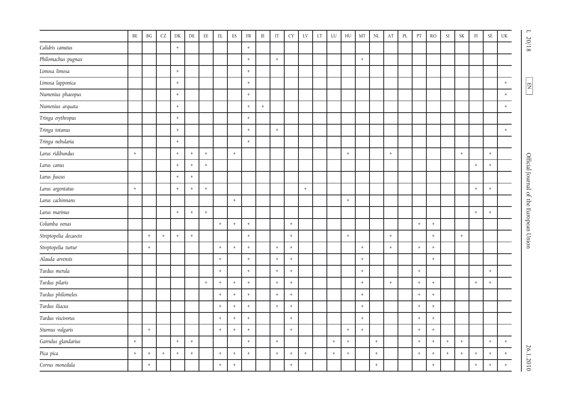|                       | $\rm BE$        | BG                               | $\operatorname{CZ}$ | DK              | $\rm DE$                         | $\rm{EE}$   | $\mathop{\rm EL}$ | ${\rm ES}$        | ${\rm FR}$        | $\rm IE$ | IT          | <b>CY</b>        | LV          | $\mathop{\rm LT}\nolimits$ | ${\rm LU}$ | ${\rm H}{\rm U}$ | $\rm{MT}$ | $\mathop{\rm NL}\nolimits$ | $\mathbf{A}\mathbf{T}$ | $\rm PL$ | PT          | RO               | $\mathop{\rm SI}$ | $\ensuremath{\mathsf{SK}}\xspace$ | $\mathop{\rm FI}\nolimits$ | $\ensuremath{\mathsf{SE}}$ | $\mathbf{UK}$ | $\overline{a}$                         |
|-----------------------|-----------------|----------------------------------|---------------------|-----------------|----------------------------------|-------------|-------------------|-------------------|-------------------|----------|-------------|------------------|-------------|----------------------------|------------|------------------|-----------|----------------------------|------------------------|----------|-------------|------------------|-------------------|-----------------------------------|----------------------------|----------------------------|---------------|----------------------------------------|
| Calidris canutus      |                 |                                  |                     | $+$             |                                  |             |                   |                   | $\overline{+}$    |          |             |                  |             |                            |            |                  |           |                            |                        |          |             |                  |                   |                                   |                            |                            |               | $20/18$                                |
| Philomachus pugnax    |                 |                                  |                     |                 |                                  |             |                   |                   | $\ddot{}$         |          | $\,$ + $\,$ |                  |             |                            |            |                  | $^+$      |                            |                        |          |             |                  |                   |                                   |                            |                            |               |                                        |
| Limosa limosa         |                 |                                  |                     | $+$             |                                  |             |                   |                   | $^+$              |          |             |                  |             |                            |            |                  |           |                            |                        |          |             |                  |                   |                                   |                            |                            |               |                                        |
| Limosa lapponica      |                 |                                  |                     | $^{+}$          |                                  |             |                   |                   | $^{+}$            |          |             |                  |             |                            |            |                  |           |                            |                        |          |             |                  |                   |                                   |                            |                            | $+$           | E                                      |
| Numenius phaeopus     |                 |                                  |                     | $+$             |                                  |             |                   |                   | $^+$              |          |             |                  |             |                            |            |                  |           |                            |                        |          |             |                  |                   |                                   |                            |                            | $\, +$        |                                        |
| Numenius arquata      |                 |                                  |                     | $+$             |                                  |             |                   |                   | $^{+}$            | $+$      |             |                  |             |                            |            |                  |           |                            |                        |          |             |                  |                   |                                   |                            |                            | $+$           |                                        |
| Tringa erythropus     |                 |                                  |                     | $+$             |                                  |             |                   |                   | $\qquad \qquad +$ |          |             |                  |             |                            |            |                  |           |                            |                        |          |             |                  |                   |                                   |                            |                            |               |                                        |
| Tringa totanus        |                 |                                  |                     | $\,$ + $\,$     |                                  |             |                   |                   | $^{\mathrm{+}}$   |          | $\, +$      |                  |             |                            |            |                  |           |                            |                        |          |             |                  |                   |                                   |                            |                            | $+$           |                                        |
| Tringa nebularia      |                 |                                  |                     | $+$             |                                  |             |                   |                   | $^{+}$            |          |             |                  |             |                            |            |                  |           |                            |                        |          |             |                  |                   |                                   |                            |                            |               |                                        |
| Larus ridibundus      | $+$             |                                  |                     | $+$             | $+$                              | $+$         |                   | $\ddot{}$         |                   |          |             |                  |             |                            |            | $\,$ + $\,$      |           |                            | $\pm$                  |          |             |                  |                   | $\pm$                             |                            | $+$                        |               |                                        |
| Larus canus           |                 |                                  |                     | $\,$ + $\,$     | $^+$                             | $^+$        |                   |                   |                   |          |             |                  |             |                            |            |                  |           |                            |                        |          |             |                  |                   |                                   | $^{\mathrm{+}}$            | $+$                        |               | Official Journal of the European Union |
| Larus fuscus          |                 |                                  |                     | $+$             | $\, +$                           |             |                   |                   |                   |          |             |                  |             |                            |            |                  |           |                            |                        |          |             |                  |                   |                                   |                            |                            |               |                                        |
| Larus argentatus      | $^{\mathrm{+}}$ |                                  |                     | $^{\mathrm{+}}$ | $\,$ + $\,$                      | $^+$        |                   |                   |                   |          |             |                  | $\,$ + $\,$ |                            |            |                  |           |                            |                        |          |             |                  |                   |                                   | $\, +$                     | $^{\mathrm{+}}$            |               |                                        |
| Larus cachinnans      |                 |                                  |                     |                 |                                  |             |                   | $\, +$            |                   |          |             |                  |             |                            |            | $\,$ + $\,$      |           |                            |                        |          |             |                  |                   |                                   |                            |                            |               |                                        |
| Larus marinus         |                 |                                  |                     | $\,$ + $\,$     | $\, +$                           | $^+$        |                   |                   |                   |          |             |                  |             |                            |            |                  |           |                            |                        |          |             |                  |                   |                                   | $\,$ + $\,$                | $+$                        |               |                                        |
| Columba oenas         |                 |                                  |                     |                 |                                  |             | $+$               | $\ddot{}$         | $\ddot{+}$        |          |             | $^+$             |             |                            |            |                  |           |                            |                        |          | $+$         | $\,$ + $\,$      |                   |                                   |                            |                            |               |                                        |
| Streptopelia decaocto |                 | $\begin{array}{c} + \end{array}$ | $\ddot{}$           | $+$             | $\, +$                           |             |                   |                   | $\ddot{}$         |          |             | $\pm$            |             |                            |            | $\,$ + $\,$      |           |                            | $\! +$                 |          |             | $\, +$           |                   | $\pm$                             |                            |                            |               |                                        |
| Streptopelia turtur   |                 | $^{\mathrm{+}}$                  |                     |                 |                                  |             | $+$               | $+$               | $^+$              |          | $\, +$      | $\pm$            |             |                            |            |                  | $^+$      |                            | $^+$                   |          | $+$         | $\, +$           |                   |                                   |                            |                            |               |                                        |
| Alauda arvensis       |                 |                                  |                     |                 |                                  |             | $+$               |                   | $\ddot{}$         |          | $+$         | $+$              |             |                            |            |                  | $\ddot{}$ |                            |                        |          |             | $\, +$           |                   |                                   |                            |                            |               |                                        |
| Turdus merula         |                 |                                  |                     |                 |                                  |             | $\,$ + $\,$       |                   | $^+$              |          | $+$         | $\, +$           |             |                            |            |                  | $^+$      |                            |                        |          | $\pm$       |                  |                   |                                   |                            | $+$                        |               |                                        |
| Turdus pilaris        |                 |                                  |                     |                 |                                  | $\,$ + $\,$ | $+$               | $+$               | $^{+}$            |          | $+$         | $\, +$           |             |                            |            |                  | $+$       |                            | $\pm$                  |          | $+$         | $\pm$            |                   |                                   | $+$                        | $\, +$                     |               |                                        |
| Turdus philomelos     |                 |                                  |                     |                 |                                  |             | $+$               | $+$               | $^{+}$            |          | $+$         | $^+$             |             |                            |            |                  | $\, +$    |                            |                        |          | $+$         | $\, +$           |                   |                                   |                            |                            |               |                                        |
| Turdus iliacus        |                 |                                  |                     |                 |                                  |             | $\,$ + $\,$       | $\boldsymbol{+}$  | $\ddot{}$         |          | $\! +$      | $\boldsymbol{+}$ |             |                            |            |                  | $^+$      |                            |                        |          | $\,$ + $\,$ | $\boldsymbol{+}$ |                   |                                   |                            |                            |               |                                        |
| Turdus viscivorus     |                 |                                  |                     |                 |                                  |             | $+$               | $\qquad \qquad +$ | $\ddot{}$         |          |             | $+$              |             |                            |            |                  | $^{+}$    |                            |                        |          | $+$         | $\pm$            |                   |                                   |                            |                            |               |                                        |
| Sturnus vulgaris      |                 | $\,$ + $\,$                      |                     |                 |                                  |             | $\,$ + $\,$       | $\,$ + $\,$       | $\overline{+}$    |          |             | $\pm$            |             |                            |            | $^{+}$           | $^+$      |                            |                        |          | $+$         | $\, +$           |                   |                                   |                            |                            |               |                                        |
| Garrulus glandarius   | $+$             |                                  |                     | $\,$ + $\,$     | $^+$                             |             |                   |                   | $\ddot{}$         |          | $\,$ + $\,$ |                  |             |                            | $\, +$     | $^+$             |           | $^{+}$                     |                        |          | $\,$ + $\,$ | $^+$             | $^+$              | $^+$                              |                            | $^{\mathrm{+}}$            | $\, +$        |                                        |
| Pica pica             | $+$             | $^{+}$                           | $\, +$              | $^{+}$          | $\begin{array}{c} + \end{array}$ |             | $+$               | $^{+}$            | $+$               |          | $+$         | $\, +$           | $+$         |                            | $+$        | $^{+}$           |           | $+$                        |                        |          | $+$         | $\, +$           | $+$               | $\pm$                             | $^{\mathrm{+}}$            | $+$                        | $^{+}$        | 26.1.2010                              |
| Corvus monedula       |                 | $\, +$                           |                     |                 |                                  |             | $+$               | $+$               |                   |          |             | $^+$             |             |                            |            |                  |           | $+$                        |                        |          |             | $\, +$           |                   |                                   | $\, +$                     | $^{\mathrm{+}}$            | $+$           |                                        |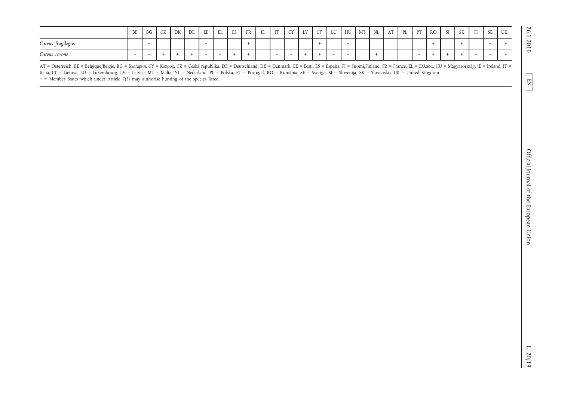|                                                                                                                                                                                                                                                                                                                                                                                                                                                                                                                           | $\rm BE$    | $\operatorname{B} G$ | ${\sf CZ}$ | ${\rm DK}$ | $\rm DE$ | $\rm{EE}$   | $\mathop{\rm EL}$ | ${\rm ES}$  | ${\rm FR}$ | $\;$ IE | $\operatorname{IT}$ | <b>CY</b>   | ${\rm LV}$ | LT              | ${\rm LU}$  | ${\rm H}{\rm U}$ | MT | $\rm NL$    | AT | $\rm PL$ | PT     | $\rm{RO}$ | $\mathop{\rm SI}$ | $\ensuremath{\mathsf{SK}}\xspace$ | $\rm{FI}$       | $\ensuremath{\mathsf{SE}}$ | $\ensuremath{\text{UK}}\xspace$ |
|---------------------------------------------------------------------------------------------------------------------------------------------------------------------------------------------------------------------------------------------------------------------------------------------------------------------------------------------------------------------------------------------------------------------------------------------------------------------------------------------------------------------------|-------------|----------------------|------------|------------|----------|-------------|-------------------|-------------|------------|---------|---------------------|-------------|------------|-----------------|-------------|------------------|----|-------------|----|----------|--------|-----------|-------------------|-----------------------------------|-----------------|----------------------------|---------------------------------|
| Corvus frugilegus                                                                                                                                                                                                                                                                                                                                                                                                                                                                                                         |             | $\pm$                |            |            |          | $+$         |                   |             | $+$        |         |                     |             |            | $+$             |             | $+$              |    |             |    |          |        | $\pm$     |                   | $+$                               |                 | $+$                        | $\pm$                           |
| Corvus corone                                                                                                                                                                                                                                                                                                                                                                                                                                                                                                             | $\,$ + $\,$ | $\pm$                | $+$        | $^+$       | $+$      | $\,$ + $\,$ | $^+$              | $\,$ + $\,$ | $\, +$     |         | $\, +$              | $\,$ + $\,$ | $\pm$      | $^{\mathrm{+}}$ | $\,$ + $\,$ | $\,$ + $\,$      |    | $\,$ + $\,$ |    |          | $\, +$ | $\pm$     | $\,$ + $\,$       | $\,$ + $\,$                       | $^{\mathrm{+}}$ | $\,$ + $\,$                | $\, +$                          |
| AT = Österreich, BE = Belgique/België, BG = Ευπερνια, CY = Κύπρος, CZ = Česká republika, DE = Deutschland, DK = Danmark, EE = Eesti, ES = España, FI = Suomi/Finland, FR = France, EL = Ελλάδα, HU = Magyarország, IE = Irela<br>Italia, LT = Lietuva, LU = Luxembourg, LV = Latvija, MT = Malta, NL = Nederland, PL = Polska, PT = Portugal, RO = România, SE = Sverige, SI = Slovenija, SK = Slovensko, UK = United Kingdom.<br>+ = Member States which under Article 7(3) may authorise hunting of the species listed. |             |                      |            |            |          |             |                   |             |            |         |                     |             |            |                 |             |                  |    |             |    |          |        |           |                   |                                   |                 |                            |                                 |
|                                                                                                                                                                                                                                                                                                                                                                                                                                                                                                                           |             |                      |            |            |          |             |                   |             |            |         |                     |             |            |                 |             |                  |    |             |    |          |        |           |                   |                                   |                 |                            |                                 |
|                                                                                                                                                                                                                                                                                                                                                                                                                                                                                                                           |             |                      |            |            |          |             |                   |             |            |         |                     |             |            |                 |             |                  |    |             |    |          |        |           |                   |                                   |                 |                            |                                 |
|                                                                                                                                                                                                                                                                                                                                                                                                                                                                                                                           |             |                      |            |            |          |             |                   |             |            |         |                     |             |            |                 |             |                  |    |             |    |          |        |           |                   |                                   |                 |                            |                                 |
|                                                                                                                                                                                                                                                                                                                                                                                                                                                                                                                           |             |                      |            |            |          |             |                   |             |            |         |                     |             |            |                 |             |                  |    |             |    |          |        |           |                   |                                   |                 |                            |                                 |
|                                                                                                                                                                                                                                                                                                                                                                                                                                                                                                                           |             |                      |            |            |          |             |                   |             |            |         |                     |             |            |                 |             |                  |    |             |    |          |        |           |                   |                                   |                 |                            |                                 |
|                                                                                                                                                                                                                                                                                                                                                                                                                                                                                                                           |             |                      |            |            |          |             |                   |             |            |         |                     |             |            |                 |             |                  |    |             |    |          |        |           |                   |                                   |                 |                            |                                 |
|                                                                                                                                                                                                                                                                                                                                                                                                                                                                                                                           |             |                      |            |            |          |             |                   |             |            |         |                     |             |            |                 |             |                  |    |             |    |          |        |           |                   |                                   |                 |                            |                                 |
|                                                                                                                                                                                                                                                                                                                                                                                                                                                                                                                           |             |                      |            |            |          |             |                   |             |            |         |                     |             |            |                 |             |                  |    |             |    |          |        |           |                   |                                   |                 |                            |                                 |
|                                                                                                                                                                                                                                                                                                                                                                                                                                                                                                                           |             |                      |            |            |          |             |                   |             |            |         |                     |             |            |                 |             |                  |    |             |    |          |        |           |                   |                                   |                 |                            |                                 |
|                                                                                                                                                                                                                                                                                                                                                                                                                                                                                                                           |             |                      |            |            |          |             |                   |             |            |         |                     |             |            |                 |             |                  |    |             |    |          |        |           |                   |                                   |                 |                            |                                 |
|                                                                                                                                                                                                                                                                                                                                                                                                                                                                                                                           |             |                      |            |            |          |             |                   |             |            |         |                     |             |            |                 |             |                  |    |             |    |          |        |           |                   |                                   |                 |                            |                                 |
|                                                                                                                                                                                                                                                                                                                                                                                                                                                                                                                           |             |                      |            |            |          |             |                   |             |            |         |                     |             |            |                 |             |                  |    |             |    |          |        |           |                   |                                   |                 |                            |                                 |
|                                                                                                                                                                                                                                                                                                                                                                                                                                                                                                                           |             |                      |            |            |          |             |                   |             |            |         |                     |             |            |                 |             |                  |    |             |    |          |        |           |                   |                                   |                 |                            |                                 |
|                                                                                                                                                                                                                                                                                                                                                                                                                                                                                                                           |             |                      |            |            |          |             |                   |             |            |         |                     |             |            |                 |             |                  |    |             |    |          |        |           |                   |                                   |                 |                            |                                 |
|                                                                                                                                                                                                                                                                                                                                                                                                                                                                                                                           |             |                      |            |            |          |             |                   |             |            |         |                     |             |            |                 |             |                  |    |             |    |          |        |           |                   |                                   |                 |                            |                                 |
|                                                                                                                                                                                                                                                                                                                                                                                                                                                                                                                           |             |                      |            |            |          |             |                   |             |            |         |                     |             |            |                 |             |                  |    |             |    |          |        |           |                   |                                   |                 |                            |                                 |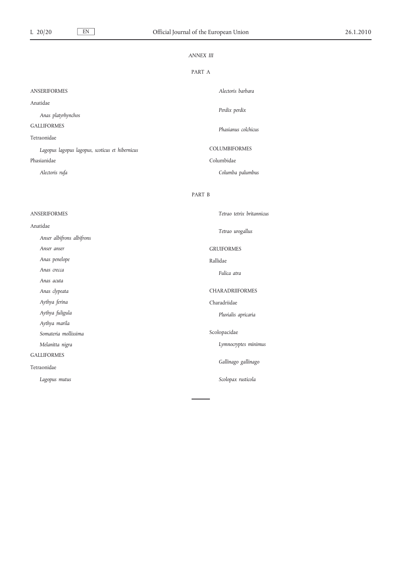|                                                 | <b>ANNEX III</b>                                 |  |
|-------------------------------------------------|--------------------------------------------------|--|
|                                                 | PART A                                           |  |
| <b>ANSERIFORMES</b>                             | Alectoris barbara                                |  |
| Anatidae                                        |                                                  |  |
| Anas platyrhynchos                              | Perdix perdix                                    |  |
| <b>GALLIFORMES</b>                              | Phasianus colchicus                              |  |
| Tetraonidae                                     |                                                  |  |
| Lagopus lagopus lagopus, scoticus et hibernicus | COLUMBIFORMES                                    |  |
| Phasianidae                                     | Columbidae                                       |  |
| Alectoris rufa                                  | Columba palumbus                                 |  |
|                                                 | PART B                                           |  |
| <b>ANSERIFORMES</b>                             | Tetrao tetrix britannicus                        |  |
| Anatidae                                        |                                                  |  |
| Anser albifrons albifrons                       | Tetrao urogallus                                 |  |
| Anser anser                                     | <b>GRUIFORMES</b>                                |  |
| Anas penelope                                   | Rallidae                                         |  |
| Anas crecca                                     | Fulica atra                                      |  |
| Anas acuta                                      |                                                  |  |
| Anas clypeata                                   | CHARADRIIFORMES                                  |  |
| Aythya ferina                                   | Charadriidae                                     |  |
| Aythya fuligula                                 | Pluvialis apricaria                              |  |
| Aythya marila                                   |                                                  |  |
| Somateria mollissima                            | Scolopacidae                                     |  |
| Melanitta nigra                                 | Lymnocryptes minimus<br>$\overline{\phantom{a}}$ |  |
| <b>GALLIFORMES</b>                              |                                                  |  |
| Tetraonidae                                     | Gallinago gallinago                              |  |
| Lagopus mutus                                   | Scolopax rusticola                               |  |
|                                                 |                                                  |  |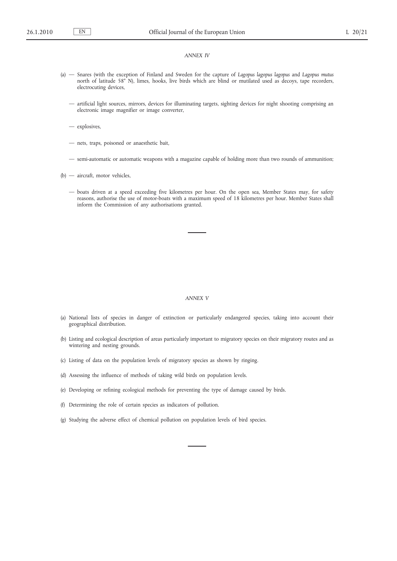- (a) Snares (with the exception of Finland and Sweden for the capture of *Lagopus lagopus lagopus* and *Lagopus mutus* north of latitude 58° N), limes, hooks, live birds which are blind or mutilated used as decoys, tape recorders, electrocuting devices,
	- artificial light sources, mirrors, devices for illuminating targets, sighting devices for night shooting comprising an electronic image magnifier or image converter,
	- explosives,
	- nets, traps, poisoned or anaesthetic bait,
	- semi-automatic or automatic weapons with a magazine capable of holding more than two rounds of ammunition;
- (b) aircraft, motor vehicles,
	- boats driven at a speed exceeding five kilometres per hour. On the open sea, Member States may, for safety reasons, authorise the use of motor-boats with a maximum speed of 18 kilometres per hour. Member States shall inform the Commission of any authorisations granted.

#### *ANNEX V*

- (a) National lists of species in danger of extinction or particularly endangered species, taking into account their geographical distribution.
- (b) Listing and ecological description of areas particularly important to migratory species on their migratory routes and as wintering and nesting grounds.
- (c) Listing of data on the population levels of migratory species as shown by ringing.
- (d) Assessing the influence of methods of taking wild birds on population levels.
- (e) Developing or refining ecological methods for preventing the type of damage caused by birds.
- (f) Determining the role of certain species as indicators of pollution.
- (g) Studying the adverse effect of chemical pollution on population levels of bird species.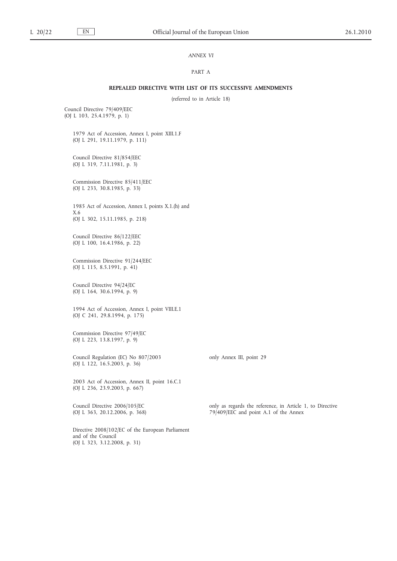### *ANNEX VI*

### PART A

#### **REPEALED DIRECTIVE WITH LIST OF ITS SUCCESSIVE AMENDMENTS**

(referred to in Article 18)

Council Directive 79/409/EEC (OJ L 103, 25.4.1979, p. 1)

> 1979 Act of Accession, Annex I, point XIII.1.F (OJ L 291, 19.11.1979, p. 111)

Council Directive 81/854/EEC (OJ L 319, 7.11.1981, p. 3)

Commission Directive 85/411/EEC (OJ L 233, 30.8.1985, p. 33)

1985 Act of Accession, Annex I, points X.1.(h) and X.6 (OJ L 302, 15.11.1985, p. 218)

Council Directive 86/122/EEC (OJ L 100, 16.4.1986, p. 22)

Commission Directive 91/244/EEC (OJ L 115, 8.5.1991, p. 41)

Council Directive 94/24/EC (OJ L 164, 30.6.1994, p. 9)

1994 Act of Accession, Annex I, point VIII.E.1 (OJ C 241, 29.8.1994, p. 175)

Commission Directive 97/49/EC (OJ L 223, 13.8.1997, p. 9)

Council Regulation (EC) No 807/2003 (OJ L 122, 16.5.2003, p. 36)

2003 Act of Accession, Annex II, point 16.C.1 (OJ L 236, 23.9.2003, p. 667)

Council Directive 2006/105/EC (OJ L 363, 20.12.2006, p. 368)

Directive 2008/102/EC of the European Parliament and of the Council (OJ L 323, 3.12.2008, p. 31)

only as regards the reference, in Article 1, to Directive 79/409/EEC and point A.1 of the Annex

only Annex III, point 29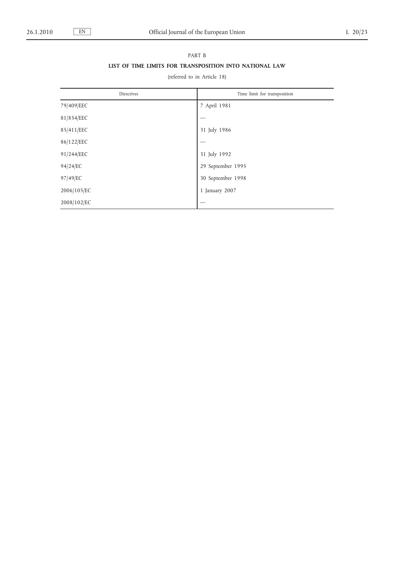# PART B **LIST OF TIME LIMITS FOR TRANSPOSITION INTO NATIONAL LAW**

## (referred to in Article 18)

| Directives  | Time limit for transposition |
|-------------|------------------------------|
| 79/409/EEC  | 7 April 1981                 |
| 81/854/EEC  |                              |
| 85/411/EEC  | 31 July 1986                 |
| 86/122/EEC  |                              |
| 91/244/EEC  | 31 July 1992                 |
| 94/24/EC    | 29 September 1995            |
| 97/49/EC    | 30 September 1998            |
| 2006/105/EC | 1 January 2007               |
| 2008/102/EC |                              |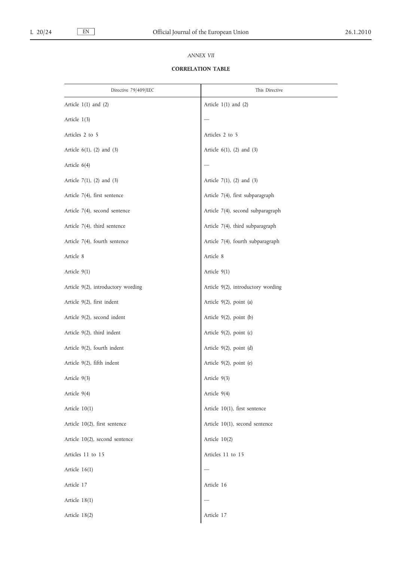### *ANNEX VII*

## **CORRELATION TABLE**

| Directive 79/409/EEC               | This Directive                     |
|------------------------------------|------------------------------------|
| Article $1(1)$ and $(2)$           | Article $1(1)$ and $(2)$           |
| Article 1(3)                       |                                    |
| Articles 2 to 5                    | Articles 2 to 5                    |
| Article $6(1)$ , $(2)$ and $(3)$   | Article $6(1)$ , $(2)$ and $(3)$   |
| Article $6(4)$                     |                                    |
| Article $7(1)$ , $(2)$ and $(3)$   | Article $7(1)$ , $(2)$ and $(3)$   |
| Article 7(4), first sentence       | Article 7(4), first subparagraph   |
| Article 7(4), second sentence      | Article 7(4), second subparagraph  |
| Article 7(4), third sentence       | Article 7(4), third subparagraph   |
| Article 7(4), fourth sentence      | Article 7(4), fourth subparagraph  |
| Article 8                          | Article 8                          |
| Article 9(1)                       | Article $9(1)$                     |
| Article 9(2), introductory wording | Article 9(2), introductory wording |
| Article 9(2), first indent         | Article 9(2), point (a)            |
| Article 9(2), second indent        | Article $9(2)$ , point $(b)$       |
| Article 9(2), third indent         | Article $9(2)$ , point (c)         |
| Article 9(2), fourth indent        | Article $9(2)$ , point (d)         |
| Article 9(2), fifth indent         | Article 9(2), point (e)            |
| Article 9(3)                       | Article 9(3)                       |
| Article 9(4)                       | Article 9(4)                       |
| Article 10(1)                      | Article 10(1), first sentence      |
| Article 10(2), first sentence      | Article 10(1), second sentence     |
| Article 10(2), second sentence     | Article 10(2)                      |
| Articles 11 to 15                  | Articles 11 to 15                  |
| Article 16(1)                      |                                    |
| Article 17                         | Article 16                         |
| Article 18(1)                      |                                    |
| Article 18(2)                      | Article 17                         |